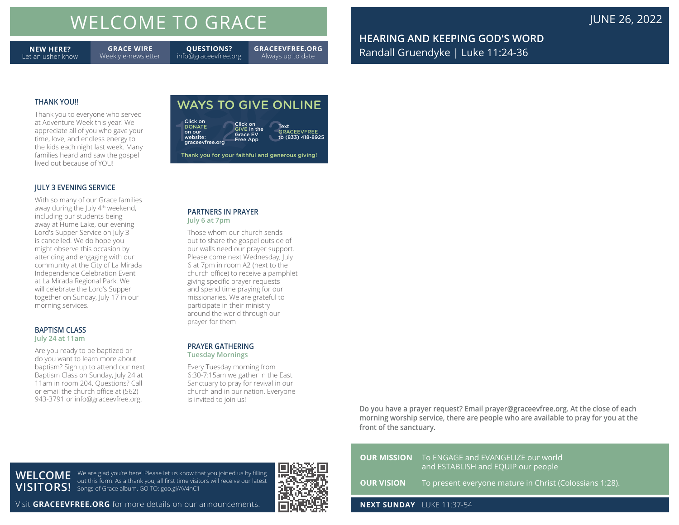# WELCOME TO GRACE **JUNE 26, 2022**

**NEW HERE?** Let an usher know

**GRACE WIRE** Weekly e-newsletter **QUESTIONS?** info@graceevfree.org

**GRACEEVFREE.ORG** Always up to date

Text GRACEEVFREE to (833) 418-8925

WAYS TO GIVE ONLINE

Click on GIVE in the Grace EV Free App

Thank you for your faithful and generous giving!

**HEARING AND KEEPING GOD'S WORD** Randall Gruendyke | Luke 11:24-36

### **THANK YOU!!**

Thank you to everyone who served at Adventure Week this year! We appreciate all of you who gave your time, love, and endless energy to the kids each night last week. Many families heard and saw the gospel lived out because of YOU!

### **JULY 3 EVENING SERVICE**

With so many of our Grace families away during the July 4<sup>th</sup> weekend, including our students being away at Hume Lake, our evening Lord's Supper Service on July 3 is cancelled. We do hope you might observe this occasion by attending and engaging with our community at the City of La Mirada Independence Celebration Event at La Mirada Regional Park. We will celebrate the Lord's Supper together on Sunday, July 17 in our morning services.

### **BAPTISM CLASS July 24 at 11am**

**WELCOME** 

Are you ready to be baptized or do you want to learn more about baptism? Sign up to attend our next Baptism Class on Sunday, July 24 at 11am in room 204. Questions? Call or email the church office at (562) 943-3791 or info@graceevfree.org.

# **PARTNERS IN PRAYER**

**July 6 at 7pm**

Click on<br>DONATE on our website: graceevfree.org

Those whom our church sends out to share the gospel outside of our walls need our prayer support. Please come next Wednesday, July 6 at 7pm in room A2 (next to the church office) to receive a pamphlet giving specific prayer requests and spend time praying for our missionaries. We are grateful to participate in their ministry around the world through our prayer for them

### **PRAYER GATHERING Tuesday Mornings**

Every Tuesday morning from 6:30-7:15am we gather in the East Sanctuary to pray for revival in our church and in our nation. Everyone is invited to join us!

**Do you have a prayer request? Email prayer@graceevfree.org. At the close of each morning worship service, there are people who are available to pray for you at the front of the sanctuary.** 

|                                  | <b>OUR MISSION</b> To ENGAGE and EVANGELIZE our world<br>and ESTABLISH and EQUIP our people |
|----------------------------------|---------------------------------------------------------------------------------------------|
|                                  | <b>OUR VISION</b> To present everyone mature in Christ (Colossians 1:28).                   |
| <b>NEXT SUNDAY</b> LUKE 11:37-54 |                                                                                             |

Visit **GRACEEVFREE.ORG** for more details on our announcements.

We are glad you're here! Please let us know that you joined us by filling out this form. As a thank you, all first time visitors will receive our latest

**VISITORS!** Songs of Grace album. GO TO: goo.gl/AV4nC1

Click on<br>
DONATE<br>
on our GIVE in the<br>
website: Give a Give a Give<br>
graceevfree.org Free App to